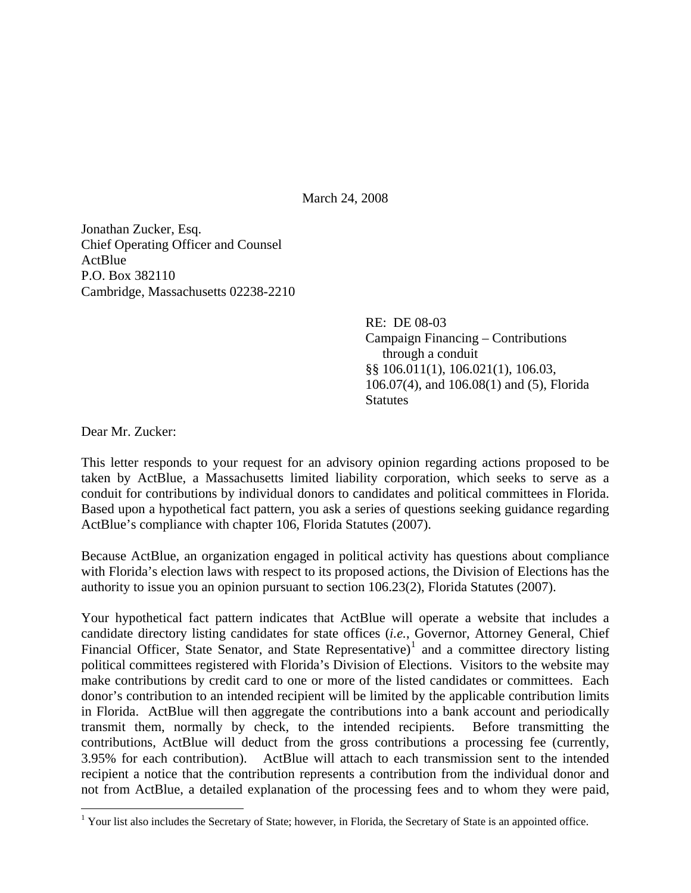March 24, 2008

Jonathan Zucker, Esq. Chief Operating Officer and Counsel **ActBlue** P.O. Box 382110 Cambridge, Massachusetts 02238-2210

> RE: DE 08-03 Campaign Financing – Contributions through a conduit §§ 106.011(1), 106.021(1), 106.03, 106.07(4), and 106.08(1) and (5), Florida **Statutes**

Dear Mr. Zucker:

This letter responds to your request for an advisory opinion regarding actions proposed to be taken by ActBlue, a Massachusetts limited liability corporation, which seeks to serve as a conduit for contributions by individual donors to candidates and political committees in Florida. Based upon a hypothetical fact pattern, you ask a series of questions seeking guidance regarding ActBlue's compliance with chapter 106, Florida Statutes (2007).

Because ActBlue, an organization engaged in political activity has questions about compliance with Florida's election laws with respect to its proposed actions, the Division of Elections has the authority to issue you an opinion pursuant to section 106.23(2), Florida Statutes (2007).

Your hypothetical fact pattern indicates that ActBlue will operate a website that includes a candidate directory listing candidates for state offices (*i.e.*, Governor, Attorney General, Chief Financial Officer, State Senator, and State Representative)<sup>[1](#page-0-0)</sup> and a committee directory listing political committees registered with Florida's Division of Elections. Visitors to the website may make contributions by credit card to one or more of the listed candidates or committees. Each donor's contribution to an intended recipient will be limited by the applicable contribution limits in Florida. ActBlue will then aggregate the contributions into a bank account and periodically transmit them, normally by check, to the intended recipients. Before transmitting the contributions, ActBlue will deduct from the gross contributions a processing fee (currently, 3.95% for each contribution). ActBlue will attach to each transmission sent to the intended recipient a notice that the contribution represents a contribution from the individual donor and not from ActBlue, a detailed explanation of the processing fees and to whom they were paid,

<span id="page-0-0"></span><sup>&</sup>lt;sup>1</sup> Your list also includes the Secretary of State; however, in Florida, the Secretary of State is an appointed office.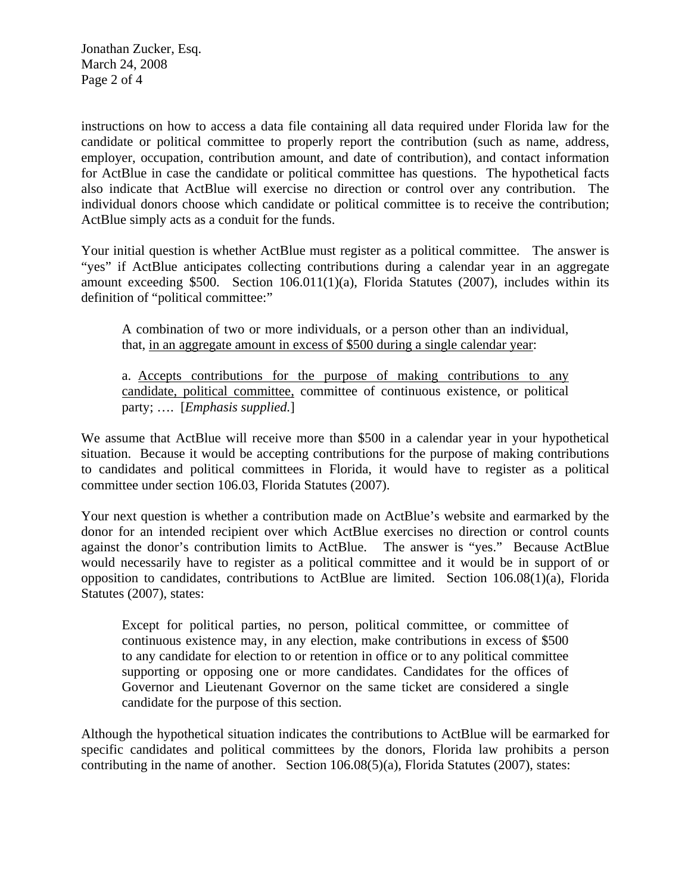Jonathan Zucker, Esq. March 24, 2008 Page 2 of 4

instructions on how to access a data file containing all data required under Florida law for the candidate or political committee to properly report the contribution (such as name, address, employer, occupation, contribution amount, and date of contribution), and contact information for ActBlue in case the candidate or political committee has questions. The hypothetical facts also indicate that ActBlue will exercise no direction or control over any contribution. The individual donors choose which candidate or political committee is to receive the contribution; ActBlue simply acts as a conduit for the funds.

Your initial question is whether ActBlue must register as a political committee. The answer is "yes" if ActBlue anticipates collecting contributions during a calendar year in an aggregate amount exceeding \$500. Section 106.011(1)(a), Florida Statutes (2007), includes within its definition of "political committee:"

A combination of two or more individuals, or a person other than an individual, that, in an aggregate amount in excess of \$500 during a single calendar year:

a. Accepts contributions for the purpose of making contributions to any candidate, political committee, committee of continuous existence, or political party; …. [*Emphasis supplied.*]

We assume that ActBlue will receive more than \$500 in a calendar year in your hypothetical situation. Because it would be accepting contributions for the purpose of making contributions to candidates and political committees in Florida, it would have to register as a political committee under section 106.03, Florida Statutes (2007).

Your next question is whether a contribution made on ActBlue's website and earmarked by the donor for an intended recipient over which ActBlue exercises no direction or control counts against the donor's contribution limits to ActBlue. The answer is "yes." Because ActBlue would necessarily have to register as a political committee and it would be in support of or opposition to candidates, contributions to ActBlue are limited. Section 106.08(1)(a), Florida Statutes (2007), states:

Except for political parties, no person, political committee, or committee of continuous existence may, in any election, make contributions in excess of \$500 to any candidate for election to or retention in office or to any political committee supporting or opposing one or more candidates. Candidates for the offices of Governor and Lieutenant Governor on the same ticket are considered a single candidate for the purpose of this section.

Although the hypothetical situation indicates the contributions to ActBlue will be earmarked for specific candidates and political committees by the donors, Florida law prohibits a person contributing in the name of another. Section 106.08(5)(a), Florida Statutes (2007), states: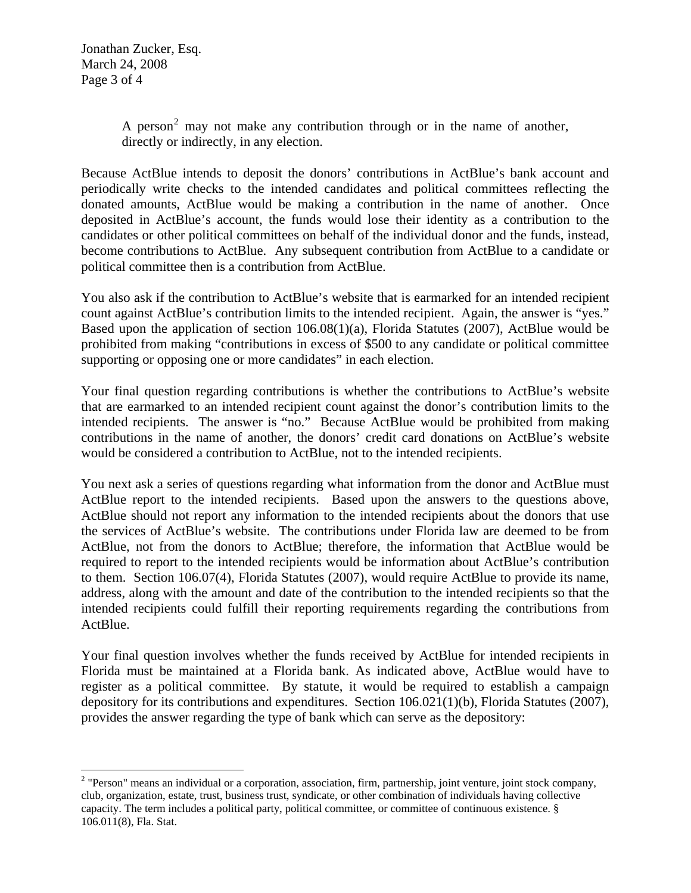Jonathan Zucker, Esq. March 24, 2008 Page 3 of 4

 $\overline{a}$ 

A person<sup>[2](#page-2-0)</sup> may not make any contribution through or in the name of another, directly or indirectly, in any election.

Because ActBlue intends to deposit the donors' contributions in ActBlue's bank account and periodically write checks to the intended candidates and political committees reflecting the donated amounts, ActBlue would be making a contribution in the name of another. Once deposited in ActBlue's account, the funds would lose their identity as a contribution to the candidates or other political committees on behalf of the individual donor and the funds, instead, become contributions to ActBlue. Any subsequent contribution from ActBlue to a candidate or political committee then is a contribution from ActBlue.

You also ask if the contribution to ActBlue's website that is earmarked for an intended recipient count against ActBlue's contribution limits to the intended recipient. Again, the answer is "yes." Based upon the application of section 106.08(1)(a), Florida Statutes (2007), ActBlue would be prohibited from making "contributions in excess of \$500 to any candidate or political committee supporting or opposing one or more candidates" in each election.

Your final question regarding contributions is whether the contributions to ActBlue's website that are earmarked to an intended recipient count against the donor's contribution limits to the intended recipients. The answer is "no." Because ActBlue would be prohibited from making contributions in the name of another, the donors' credit card donations on ActBlue's website would be considered a contribution to ActBlue, not to the intended recipients.

You next ask a series of questions regarding what information from the donor and ActBlue must ActBlue report to the intended recipients. Based upon the answers to the questions above, ActBlue should not report any information to the intended recipients about the donors that use the services of ActBlue's website. The contributions under Florida law are deemed to be from ActBlue, not from the donors to ActBlue; therefore, the information that ActBlue would be required to report to the intended recipients would be information about ActBlue's contribution to them. Section 106.07(4), Florida Statutes (2007), would require ActBlue to provide its name, address, along with the amount and date of the contribution to the intended recipients so that the intended recipients could fulfill their reporting requirements regarding the contributions from ActBlue.

Your final question involves whether the funds received by ActBlue for intended recipients in Florida must be maintained at a Florida bank. As indicated above, ActBlue would have to register as a political committee. By statute, it would be required to establish a campaign depository for its contributions and expenditures. Section 106.021(1)(b), Florida Statutes (2007), provides the answer regarding the type of bank which can serve as the depository:

<span id="page-2-0"></span> $2$  "Person" means an individual or a corporation, association, firm, partnership, joint venture, joint stock company, club, organization, estate, trust, business trust, syndicate, or other combination of individuals having collective capacity. The term includes a political party, political committee, or committee of continuous existence. § 106.011(8), Fla. Stat.